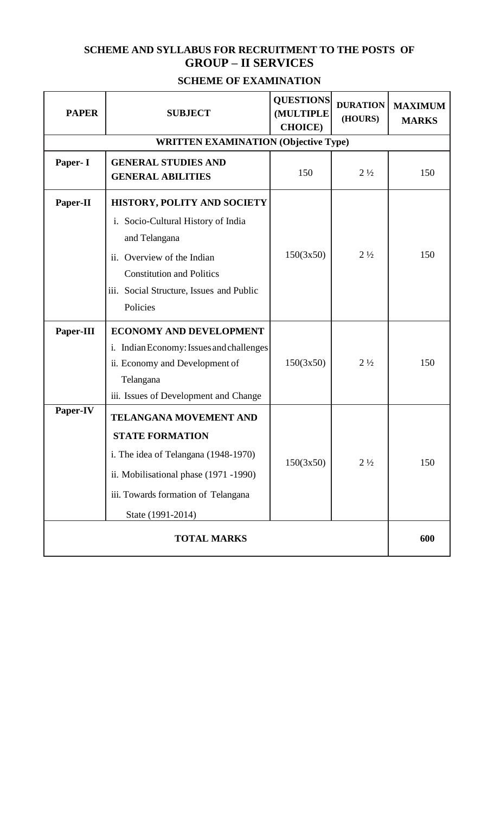# **SCHEME AND SYLLABUS FOR RECRUITMENT TO THE POSTS OF GROUP – II SERVICES**

# **SCHEME OF EXAMINATION**

| <b>PAPER</b>                                | <b>SUBJECT</b>                                                                                                                                                                                                         | <b>QUESTIONS</b><br><b>(MULTIPLE</b><br><b>CHOICE</b> ) | <b>DURATION</b><br>(HOURS) | <b>MAXIMUM</b><br><b>MARKS</b> |
|---------------------------------------------|------------------------------------------------------------------------------------------------------------------------------------------------------------------------------------------------------------------------|---------------------------------------------------------|----------------------------|--------------------------------|
| <b>WRITTEN EXAMINATION (Objective Type)</b> |                                                                                                                                                                                                                        |                                                         |                            |                                |
| Paper- I                                    | <b>GENERAL STUDIES AND</b><br><b>GENERAL ABILITIES</b>                                                                                                                                                                 | 150                                                     | $2\frac{1}{2}$             | 150                            |
| Paper-II                                    | <b>HISTORY, POLITY AND SOCIETY</b><br>i. Socio-Cultural History of India<br>and Telangana<br>Overview of the Indian<br>ii.<br><b>Constitution and Politics</b><br>iii. Social Structure, Issues and Public<br>Policies | 150(3x50)                                               | $2\frac{1}{2}$             | 150                            |
| Paper-III                                   | <b>ECONOMY AND DEVELOPMENT</b><br>i. Indian Economy: Issues and challenges<br>ii. Economy and Development of<br>Telangana<br>iii. Issues of Development and Change                                                     | 150(3x50)                                               | $2\frac{1}{2}$             | 150                            |
| Paper-IV                                    | TELANGANA MOVEMENT AND<br><b>STATE FORMATION</b><br>i. The idea of Telangana (1948-1970)<br>ii. Mobilisational phase (1971 -1990)<br>iii. Towards formation of Telangana<br>State (1991-2014)                          | 150(3x50)                                               | $2\frac{1}{2}$             | 150                            |
| <b>TOTAL MARKS</b>                          |                                                                                                                                                                                                                        |                                                         |                            | 600                            |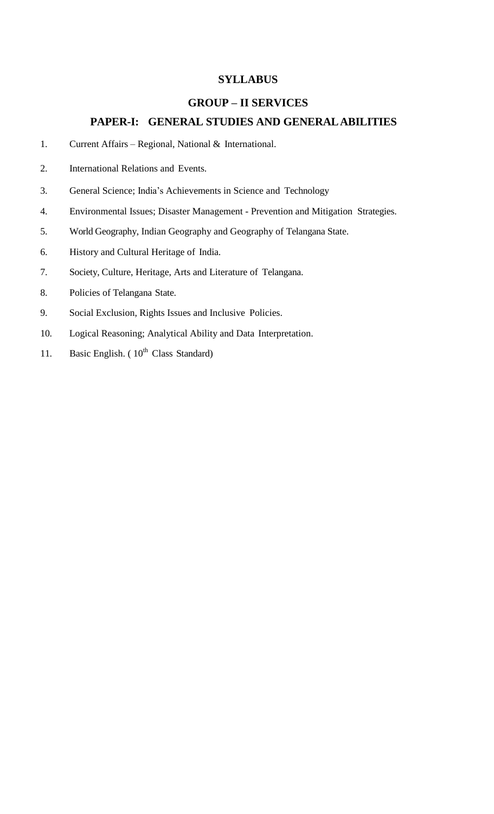### **SYLLABUS**

#### **GROUP – II SERVICES**

### **PAPER-I: GENERAL STUDIES AND GENERALABILITIES**

- 1. Current Affairs Regional, National & International.
- 2. International Relations and Events.
- 3. General Science; India's Achievements in Science and Technology
- 4. Environmental Issues; Disaster Management Prevention and Mitigation Strategies.
- 5. World Geography, Indian Geography and Geography of Telangana State.
- 6. History and Cultural Heritage of India.
- 7. Society, Culture, Heritage, Arts and Literature of Telangana.
- 8. Policies of Telangana State.
- 9. Social Exclusion, Rights Issues and Inclusive Policies.
- 10. Logical Reasoning; Analytical Ability and Data Interpretation.
- 11. Basic English.  $(10^{th}$  Class Standard)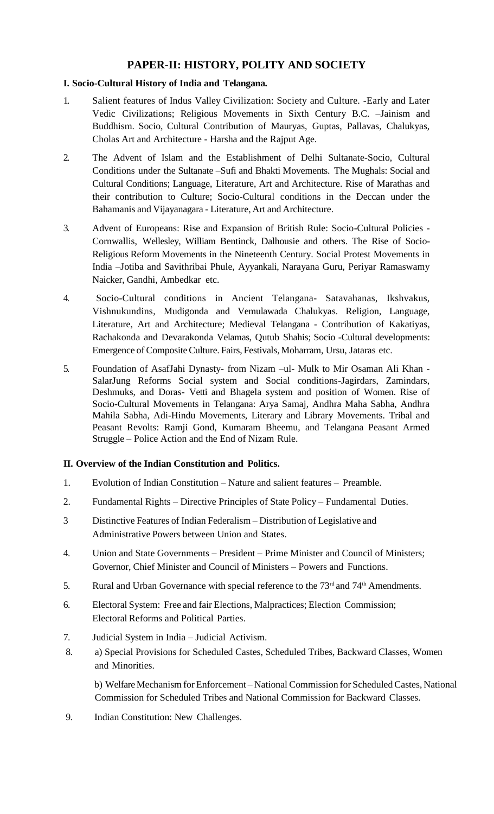# **PAPER-II: HISTORY, POLITY AND SOCIETY**

### **I. Socio-Cultural History of India and Telangana.**

- 1. Salient features of Indus Valley Civilization: Society and Culture. -Early and Later Vedic Civilizations; Religious Movements in Sixth Century B.C. –Jainism and Buddhism. Socio, Cultural Contribution of Mauryas, Guptas, Pallavas, Chalukyas, Cholas Art and Architecture - Harsha and the Rajput Age.
- 2. The Advent of Islam and the Establishment of Delhi Sultanate-Socio, Cultural Conditions under the Sultanate –Sufi and Bhakti Movements. The Mughals: Social and Cultural Conditions; Language, Literature, Art and Architecture. Rise of Marathas and their contribution to Culture; Socio-Cultural conditions in the Deccan under the Bahamanis and Vijayanagara - Literature, Art and Architecture.
- 3. Advent of Europeans: Rise and Expansion of British Rule: Socio-Cultural Policies Cornwallis, Wellesley, William Bentinck, Dalhousie and others. The Rise of Socio-Religious Reform Movements in the Nineteenth Century. Social Protest Movements in India –Jotiba and Savithribai Phule, Ayyankali, Narayana Guru, Periyar Ramaswamy Naicker, Gandhi, Ambedkar etc.
- 4. Socio-Cultural conditions in Ancient Telangana- Satavahanas, Ikshvakus, Vishnukundins, Mudigonda and Vemulawada Chalukyas. Religion, Language, Literature, Art and Architecture; Medieval Telangana - Contribution of Kakatiyas, Rachakonda and Devarakonda Velamas, Qutub Shahis; Socio -Cultural developments: Emergence of CompositeCulture. Fairs, Festivals, Moharram, Ursu, Jataras etc.
- 5. Foundation of AsafJahi Dynasty- from Nizam –ul- Mulk to Mir Osaman Ali Khan SalarJung Reforms Social system and Social conditions-Jagirdars, Zamindars, Deshmuks, and Doras- Vetti and Bhagela system and position of Women. Rise of Socio-Cultural Movements in Telangana: Arya Samaj, Andhra Maha Sabha, Andhra Mahila Sabha, Adi-Hindu Movements, Literary and Library Movements. Tribal and Peasant Revolts: Ramji Gond, Kumaram Bheemu, and Telangana Peasant Armed Struggle – Police Action and the End of Nizam Rule.

### **II. Overview of the Indian Constitution and Politics.**

- 1. Evolution of Indian Constitution Nature and salient features Preamble.
- 2. Fundamental Rights Directive Principles of State Policy Fundamental Duties.
- 3 Distinctive Features of Indian Federalism Distribution of Legislative and Administrative Powers between Union and States.
- 4. Union and State Governments President Prime Minister and Council of Ministers; Governor, Chief Minister and Council of Ministers – Powers and Functions.
- 5. Rural and Urban Governance with special reference to the 73<sup>rd</sup> and 74<sup>th</sup> Amendments.
- 6. Electoral System: Free and fair Elections, Malpractices; Election Commission; Electoral Reforms and Political Parties.
- 7. Judicial System in India Judicial Activism.
- 8. a) Special Provisions for Scheduled Castes, Scheduled Tribes, Backward Classes, Women and Minorities.

b) Welfare Mechanism for Enforcement – National Commission for Scheduled Castes, National Commission for Scheduled Tribes and National Commission for Backward Classes.

9. Indian Constitution: New Challenges.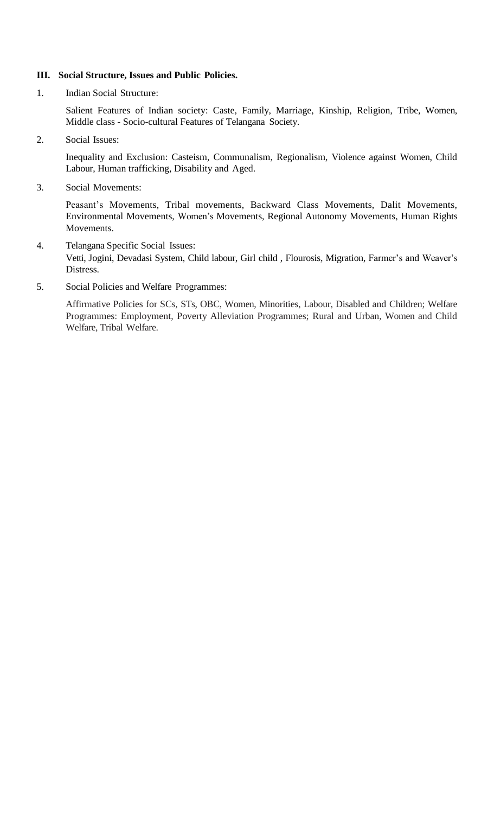#### **III. Social Structure, Issues and Public Policies.**

1. Indian Social Structure:

Salient Features of Indian society: Caste, Family, Marriage, Kinship, Religion, Tribe, Women, Middle class - Socio-cultural Features of Telangana Society.

2. Social Issues:

Inequality and Exclusion: Casteism, Communalism, Regionalism, Violence against Women, Child Labour, Human trafficking, Disability and Aged.

3. Social Movements:

Peasant's Movements, Tribal movements, Backward Class Movements, Dalit Movements, Environmental Movements, Women's Movements, Regional Autonomy Movements, Human Rights Movements.

- 4. Telangana Specific Social Issues: Vetti, Jogini, Devadasi System, Child labour, Girl child , Flourosis, Migration, Farmer's and Weaver's Distress.
- 5. Social Policies and Welfare Programmes:

Affirmative Policies for SCs, STs, OBC, Women, Minorities, Labour, Disabled and Children; Welfare Programmes: Employment, Poverty Alleviation Programmes; Rural and Urban, Women and Child Welfare, Tribal Welfare.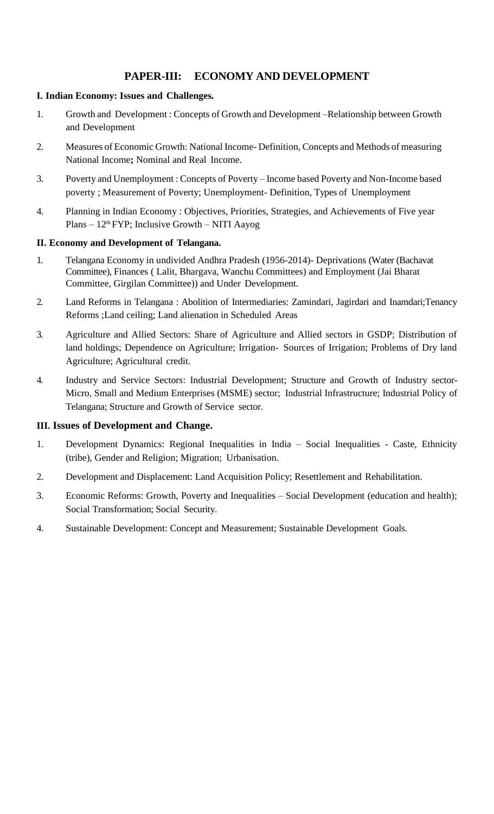# **PAPER-III: ECONOMY AND DEVELOPMENT**

### **I. Indian Economy: Issues and Challenges***.*

- 1. Growth and Development : Concepts of Growth and Development –Relationship between Growth and Development
- 2. Measures of Economic Growth: National Income- Definition, Concepts and Methods of measuring National Income**;** Nominal and Real Income.
- 3. Poverty and Unemployment : Concepts of Poverty Income based Poverty and Non-Income based poverty ; Measurement of Poverty; Unemployment- Definition, Types of Unemployment
- 4. Planning in Indian Economy : Objectives, Priorities, Strategies, and Achievements of Five year  $Plans - 12<sup>th</sup> FYP$ ; Inclusive Growth – NITI Aayog

#### **II. Economy and Development of Telangana.**

- 1. Telangana Economy in undivided Andhra Pradesh (1956-2014)- Deprivations (Water (Bachavat Committee), Finances ( Lalit, Bhargava, Wanchu Committees) and Employment (Jai Bharat Committee, Girgilan Committee)) and Under Development.
- 2. Land Reforms in Telangana : Abolition of Intermediaries: Zamindari, Jagirdari and Inamdari;Tenancy Reforms ;Land ceiling; Land alienation in Scheduled Areas
- 3. Agriculture and Allied Sectors: Share of Agriculture and Allied sectors in GSDP; Distribution of land holdings; Dependence on Agriculture; Irrigation- Sources of Irrigation; Problems of Dry land Agriculture; Agricultural credit.
- 4. Industry and Service Sectors: Industrial Development; Structure and Growth of Industry sector-Micro, Small and Medium Enterprises (MSME) sector; Industrial Infrastructure; Industrial Policy of Telangana; Structure and Growth of Service sector.

### **III. Issues of Development and Change.**

- 1. Development Dynamics: Regional Inequalities in India Social Inequalities Caste, Ethnicity (tribe), Gender and Religion; Migration; Urbanisation.
- 2. Development and Displacement: Land Acquisition Policy; Resettlement and Rehabilitation.
- 3. Economic Reforms: Growth, Poverty and Inequalities Social Development (education and health); Social Transformation; Social Security.
- 4. Sustainable Development: Concept and Measurement; Sustainable Development Goals.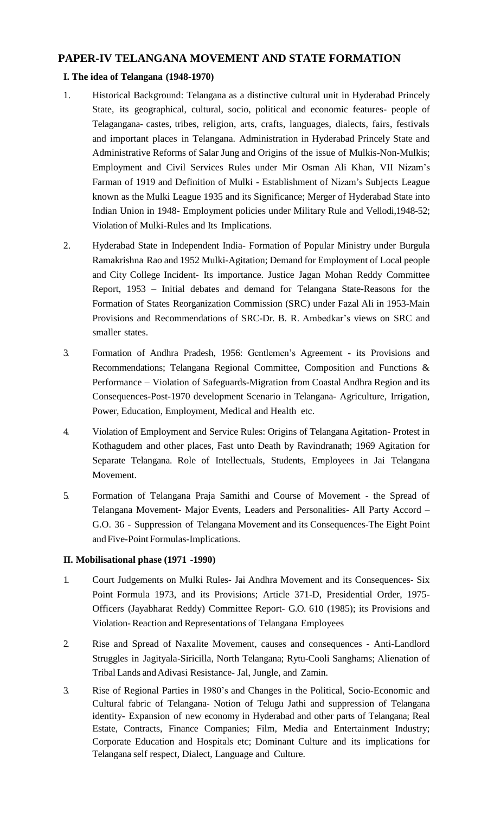### **PAPER-IV TELANGANA MOVEMENT AND STATE FORMATION**

### **I. The idea of Telangana (1948-1970)**

- 1. Historical Background: Telangana as a distinctive cultural unit in Hyderabad Princely State, its geographical, cultural, socio, political and economic features- people of Telagangana- castes, tribes, religion, arts, crafts, languages, dialects, fairs, festivals and important places in Telangana. Administration in Hyderabad Princely State and Administrative Reforms of Salar Jung and Origins of the issue of Mulkis-Non-Mulkis; Employment and Civil Services Rules under Mir Osman Ali Khan, VII Nizam's Farman of 1919 and Definition of Mulki - Establishment of Nizam's Subjects League known as the Mulki League 1935 and its Significance; Merger of Hyderabad State into Indian Union in 1948- Employment policies under Military Rule and Vellodi,1948-52; Violation of Mulki-Rules and Its Implications.
- 2. Hyderabad State in Independent India- Formation of Popular Ministry under Burgula Ramakrishna Rao and 1952 Mulki-Agitation; Demand for Employment of Local people and City College Incident- Its importance. Justice Jagan Mohan Reddy Committee Report, 1953 – Initial debates and demand for Telangana State-Reasons for the Formation of States Reorganization Commission (SRC) under Fazal Ali in 1953-Main Provisions and Recommendations of SRC-Dr. B. R. Ambedkar's views on SRC and smaller states.
- 3. Formation of Andhra Pradesh, 1956: Gentlemen's Agreement its Provisions and Recommendations; Telangana Regional Committee, Composition and Functions & Performance – Violation of Safeguards-Migration from Coastal Andhra Region and its Consequences-Post-1970 development Scenario in Telangana- Agriculture, Irrigation, Power, Education, Employment, Medical and Health etc.
- 4. Violation of Employment and Service Rules: Origins of Telangana Agitation- Protest in Kothagudem and other places, Fast unto Death by Ravindranath; 1969 Agitation for Separate Telangana. Role of Intellectuals, Students, Employees in Jai Telangana Movement.
- 5. Formation of Telangana Praja Samithi and Course of Movement the Spread of Telangana Movement- Major Events, Leaders and Personalities- All Party Accord – G.O. 36 - Suppression of Telangana Movement and its Consequences-The Eight Point and Five-Point Formulas-Implications.

### **II. Mobilisational phase (1971 -1990)**

- 1. Court Judgements on Mulki Rules- Jai Andhra Movement and its Consequences- Six Point Formula 1973, and its Provisions; Article 371-D, Presidential Order, 1975- Officers (Jayabharat Reddy) Committee Report- G.O. 610 (1985); its Provisions and Violation- Reaction and Representations of Telangana Employees
- 2. Rise and Spread of Naxalite Movement, causes and consequences Anti-Landlord Struggles in Jagityala-Siricilla, North Telangana; Rytu-Cooli Sanghams; Alienation of Tribal Lands andAdivasi Resistance- Jal, Jungle, and Zamin.
- 3. Rise of Regional Parties in 1980's and Changes in the Political, Socio-Economic and Cultural fabric of Telangana- Notion of Telugu Jathi and suppression of Telangana identity- Expansion of new economy in Hyderabad and other parts of Telangana; Real Estate, Contracts, Finance Companies; Film, Media and Entertainment Industry; Corporate Education and Hospitals etc; Dominant Culture and its implications for Telangana self respect, Dialect, Language and Culture.